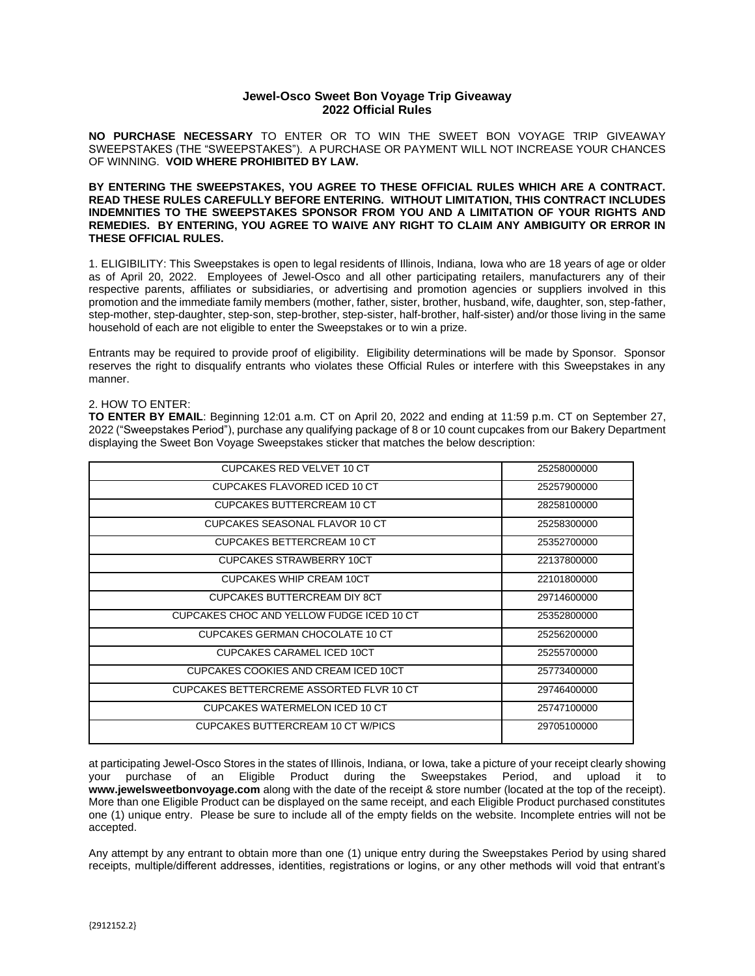## **Jewel-Osco Sweet Bon Voyage Trip Giveaway 2022 Official Rules**

**NO PURCHASE NECESSARY** TO ENTER OR TO WIN THE SWEET BON VOYAGE TRIP GIVEAWAY SWEEPSTAKES (THE "SWEEPSTAKES"). A PURCHASE OR PAYMENT WILL NOT INCREASE YOUR CHANCES OF WINNING. **VOID WHERE PROHIBITED BY LAW.**

**BY ENTERING THE SWEEPSTAKES, YOU AGREE TO THESE OFFICIAL RULES WHICH ARE A CONTRACT. READ THESE RULES CAREFULLY BEFORE ENTERING. WITHOUT LIMITATION, THIS CONTRACT INCLUDES INDEMNITIES TO THE SWEEPSTAKES SPONSOR FROM YOU AND A LIMITATION OF YOUR RIGHTS AND REMEDIES. BY ENTERING, YOU AGREE TO WAIVE ANY RIGHT TO CLAIM ANY AMBIGUITY OR ERROR IN THESE OFFICIAL RULES.**

1. ELIGIBILITY: This Sweepstakes is open to legal residents of Illinois, Indiana, Iowa who are 18 years of age or older as of April 20, 2022. Employees of Jewel-Osco and all other participating retailers, manufacturers any of their respective parents, affiliates or subsidiaries, or advertising and promotion agencies or suppliers involved in this promotion and the immediate family members (mother, father, sister, brother, husband, wife, daughter, son, step-father, step-mother, step-daughter, step-son, step-brother, step-sister, half-brother, half-sister) and/or those living in the same household of each are not eligible to enter the Sweepstakes or to win a prize.

Entrants may be required to provide proof of eligibility. Eligibility determinations will be made by Sponsor. Sponsor reserves the right to disqualify entrants who violates these Official Rules or interfere with this Sweepstakes in any manner.

## 2. HOW TO ENTER:

**TO ENTER BY EMAIL**: Beginning 12:01 a.m. CT on April 20, 2022 and ending at 11:59 p.m. CT on September 27, 2022 ("Sweepstakes Period"), purchase any qualifying package of 8 or 10 count cupcakes from our Bakery Department displaying the Sweet Bon Voyage Sweepstakes sticker that matches the below description:

| <b>CUPCAKES RED VELVET 10 CT</b>          | 25258000000 |
|-------------------------------------------|-------------|
| CUPCAKES FLAVORED ICED 10 CT              | 25257900000 |
| <b>CUPCAKES BUTTERCREAM 10 CT</b>         | 28258100000 |
| CUPCAKES SEASONAL FLAVOR 10 CT            | 25258300000 |
| CUPCAKES BETTERCREAM 10 CT                | 25352700000 |
| <b>CUPCAKES STRAWBERRY 10CT</b>           | 22137800000 |
| <b>CUPCAKES WHIP CREAM 10CT</b>           | 22101800000 |
| CUPCAKES BUTTERCREAM DIY 8CT              | 29714600000 |
| CUPCAKES CHOC AND YELLOW FUDGE ICED 10 CT | 25352800000 |
| CUPCAKES GERMAN CHOCOLATE 10 CT           | 25256200000 |
| <b>CUPCAKES CARAMEL ICED 10CT</b>         | 25255700000 |
| CUPCAKES COOKIES AND CREAM ICED 10CT      | 25773400000 |
| CUPCAKES BETTERCREME ASSORTED FLVR 10 CT  | 29746400000 |
| CUPCAKES WATERMELON ICED 10 CT            | 25747100000 |
| CUPCAKES BUTTERCREAM 10 CT W/PICS         | 29705100000 |

at participating Jewel-Osco Stores in the states of Illinois, Indiana, or Iowa, take a picture of your receipt clearly showing your purchase of an Eligible Product during the Sweepstakes Period, and upload it to **www.jewelsweetbonvoyage.com** along with the date of the receipt & store number (located at the top of the receipt). More than one Eligible Product can be displayed on the same receipt, and each Eligible Product purchased constitutes one (1) unique entry. Please be sure to include all of the empty fields on the website. Incomplete entries will not be accepted.

Any attempt by any entrant to obtain more than one (1) unique entry during the Sweepstakes Period by using shared receipts, multiple/different addresses, identities, registrations or logins, or any other methods will void that entrant's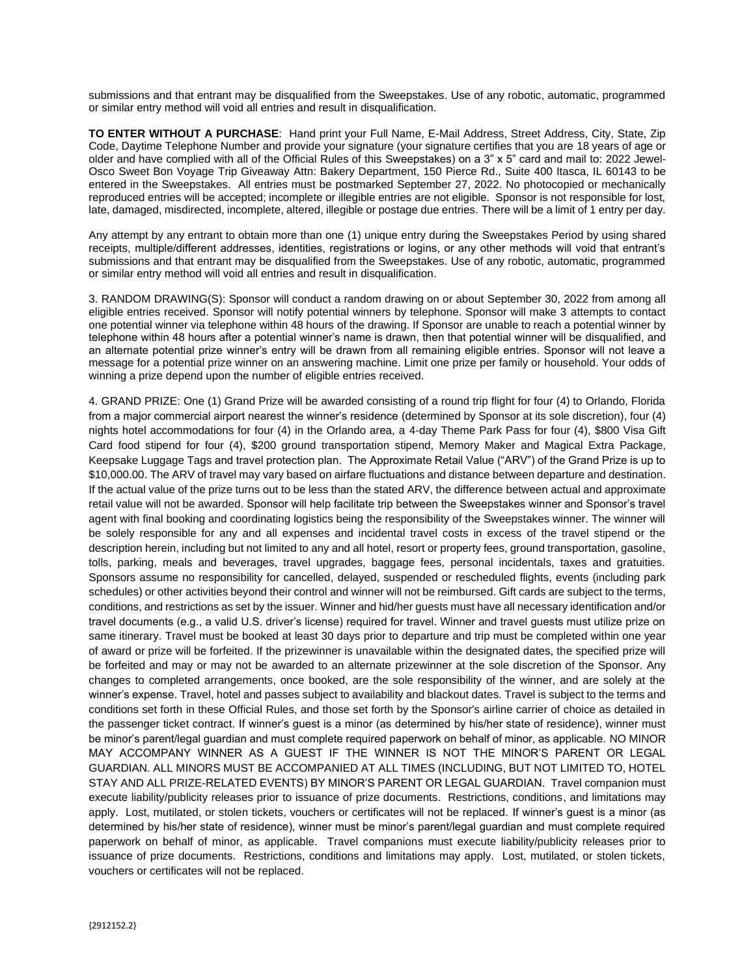submissions and that entrant may be disqualified from the Sweepstakes. Use of any robotic, automatic, programmed or similar entry method will void all entries and result in disqualification.

**TO ENTER WITHOUT A PURCHASE**: Hand print your Full Name, E-Mail Address, Street Address, City, State, Zip Code, Daytime Telephone Number and provide your signature (your signature certifies that you are 18 years of age or older and have complied with all of the Official Rules of this Sweepstakes) on a 3" x 5" card and mail to: 2022 Jewel-Osco Sweet Bon Voyage Trip Giveaway Attn: Bakery Department, 150 Pierce Rd., Suite 400 Itasca, IL 60143 to be entered in the Sweepstakes. All entries must be postmarked September 27, 2022. No photocopied or mechanically reproduced entries will be accepted; incomplete or illegible entries are not eligible. Sponsor is not responsible for lost, late, damaged, misdirected, incomplete, altered, illegible or postage due entries. There will be a limit of 1 entry per day.

Any attempt by any entrant to obtain more than one (1) unique entry during the Sweepstakes Period by using shared receipts, multiple/different addresses, identities, registrations or logins, or any other methods will void that entrant's submissions and that entrant may be disqualified from the Sweepstakes. Use of any robotic, automatic, programmed or similar entry method will void all entries and result in disqualification.

3. RANDOM DRAWING(S): Sponsor will conduct a random drawing on or about September 30, 2022 from among all eligible entries received. Sponsor will notify potential winners by telephone. Sponsor will make 3 attempts to contact one potential winner via telephone within 48 hours of the drawing. If Sponsor are unable to reach a potential winner by telephone within 48 hours after a potential winner's name is drawn, then that potential winner will be disqualified, and an alternate potential prize winner's entry will be drawn from all remaining eligible entries. Sponsor will not leave a message for a potential prize winner on an answering machine. Limit one prize per family or household. Your odds of winning a prize depend upon the number of eligible entries received.

4. GRAND PRIZE: One (1) Grand Prize will be awarded consisting of a round trip flight for four (4) to Orlando, Florida from a major commercial airport nearest the winner's residence (determined by Sponsor at its sole discretion), four (4) nights hotel accommodations for four (4) in the Orlando area, a 4-day Theme Park Pass for four (4), \$800 Visa Gift Card food stipend for four (4), \$200 ground transportation stipend, Memory Maker and Magical Extra Package, Keepsake Luggage Tags and travel protection plan. The Approximate Retail Value ("ARV") of the Grand Prize is up to \$10,000.00. The ARV of travel may vary based on airfare fluctuations and distance between departure and destination. If the actual value of the prize turns out to be less than the stated ARV, the difference between actual and approximate retail value will not be awarded. Sponsor will help facilitate trip between the Sweepstakes winner and Sponsor's travel agent with final booking and coordinating logistics being the responsibility of the Sweepstakes winner. The winner will be solely responsible for any and all expenses and incidental travel costs in excess of the travel stipend or the description herein, including but not limited to any and all hotel, resort or property fees, ground transportation, gasoline, tolls, parking, meals and beverages, travel upgrades, baggage fees, personal incidentals, taxes and gratuities. Sponsors assume no responsibility for cancelled, delayed, suspended or rescheduled flights, events (including park schedules) or other activities beyond their control and winner will not be reimbursed. Gift cards are subject to the terms, conditions, and restrictions as set by the issuer. Winner and hid/her guests must have all necessary identification and/or travel documents (e.g., a valid U.S. driver's license) required for travel. Winner and travel guests must utilize prize on same itinerary. Travel must be booked at least 30 days prior to departure and trip must be completed within one year of award or prize will be forfeited. If the prizewinner is unavailable within the designated dates, the specified prize will be forfeited and may or may not be awarded to an alternate prizewinner at the sole discretion of the Sponsor. Any changes to completed arrangements, once booked, are the sole responsibility of the winner, and are solely at the winner's expense. Travel, hotel and passes subject to availability and blackout dates. Travel is subject to the terms and conditions set forth in these Official Rules, and those set forth by the Sponsor's airline carrier of choice as detailed in the passenger ticket contract. If winner's guest is a minor (as determined by his/her state of residence), winner must be minor's parent/legal guardian and must complete required paperwork on behalf of minor, as applicable. NO MINOR MAY ACCOMPANY WINNER AS A GUEST IF THE WINNER IS NOT THE MINOR'S PARENT OR LEGAL GUARDIAN. ALL MINORS MUST BE ACCOMPANIED AT ALL TIMES (INCLUDING, BUT NOT LIMITED TO, HOTEL STAY AND ALL PRIZE-RELATED EVENTS) BY MINOR'S PARENT OR LEGAL GUARDIAN. Travel companion must execute liability/publicity releases prior to issuance of prize documents. Restrictions, conditions, and limitations may apply. Lost, mutilated, or stolen tickets, vouchers or certificates will not be replaced. If winner's guest is a minor (as determined by his/her state of residence), winner must be minor's parent/legal guardian and must complete required paperwork on behalf of minor, as applicable. Travel companions must execute liability/publicity releases prior to issuance of prize documents. Restrictions, conditions and limitations may apply. Lost, mutilated, or stolen tickets, vouchers or certificates will not be replaced.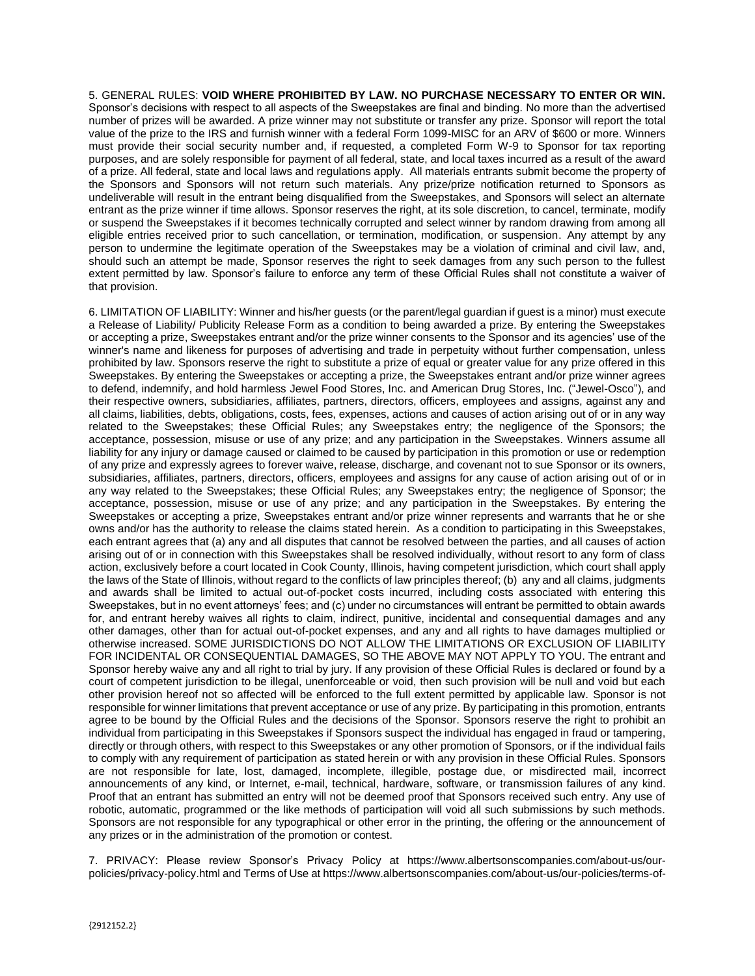5. GENERAL RULES: **VOID WHERE PROHIBITED BY LAW. NO PURCHASE NECESSARY TO ENTER OR WIN.** Sponsor's decisions with respect to all aspects of the Sweepstakes are final and binding. No more than the advertised number of prizes will be awarded. A prize winner may not substitute or transfer any prize. Sponsor will report the total value of the prize to the IRS and furnish winner with a federal Form 1099-MISC for an ARV of \$600 or more. Winners must provide their social security number and, if requested, a completed Form W-9 to Sponsor for tax reporting purposes, and are solely responsible for payment of all federal, state, and local taxes incurred as a result of the award of a prize. All federal, state and local laws and regulations apply. All materials entrants submit become the property of the Sponsors and Sponsors will not return such materials. Any prize/prize notification returned to Sponsors as undeliverable will result in the entrant being disqualified from the Sweepstakes, and Sponsors will select an alternate entrant as the prize winner if time allows. Sponsor reserves the right, at its sole discretion, to cancel, terminate, modify or suspend the Sweepstakes if it becomes technically corrupted and select winner by random drawing from among all eligible entries received prior to such cancellation, or termination, modification, or suspension. Any attempt by any person to undermine the legitimate operation of the Sweepstakes may be a violation of criminal and civil law, and, should such an attempt be made, Sponsor reserves the right to seek damages from any such person to the fullest extent permitted by law. Sponsor's failure to enforce any term of these Official Rules shall not constitute a waiver of that provision.

6. LIMITATION OF LIABILITY: Winner and his/her guests (or the parent/legal guardian if guest is a minor) must execute a Release of Liability/ Publicity Release Form as a condition to being awarded a prize. By entering the Sweepstakes or accepting a prize, Sweepstakes entrant and/or the prize winner consents to the Sponsor and its agencies' use of the winner's name and likeness for purposes of advertising and trade in perpetuity without further compensation, unless prohibited by law. Sponsors reserve the right to substitute a prize of equal or greater value for any prize offered in this Sweepstakes. By entering the Sweepstakes or accepting a prize, the Sweepstakes entrant and/or prize winner agrees to defend, indemnify, and hold harmless Jewel Food Stores, Inc. and American Drug Stores, Inc. ("Jewel-Osco"), and their respective owners, subsidiaries, affiliates, partners, directors, officers, employees and assigns, against any and all claims, liabilities, debts, obligations, costs, fees, expenses, actions and causes of action arising out of or in any way related to the Sweepstakes; these Official Rules; any Sweepstakes entry; the negligence of the Sponsors; the acceptance, possession, misuse or use of any prize; and any participation in the Sweepstakes. Winners assume all liability for any injury or damage caused or claimed to be caused by participation in this promotion or use or redemption of any prize and expressly agrees to forever waive, release, discharge, and covenant not to sue Sponsor or its owners, subsidiaries, affiliates, partners, directors, officers, employees and assigns for any cause of action arising out of or in any way related to the Sweepstakes; these Official Rules; any Sweepstakes entry; the negligence of Sponsor; the acceptance, possession, misuse or use of any prize; and any participation in the Sweepstakes. By entering the Sweepstakes or accepting a prize, Sweepstakes entrant and/or prize winner represents and warrants that he or she owns and/or has the authority to release the claims stated herein. As a condition to participating in this Sweepstakes, each entrant agrees that (a) any and all disputes that cannot be resolved between the parties, and all causes of action arising out of or in connection with this Sweepstakes shall be resolved individually, without resort to any form of class action, exclusively before a court located in Cook County, Illinois, having competent jurisdiction, which court shall apply the laws of the State of Illinois, without regard to the conflicts of law principles thereof; (b) any and all claims, judgments and awards shall be limited to actual out-of-pocket costs incurred, including costs associated with entering this Sweepstakes, but in no event attorneys' fees; and (c) under no circumstances will entrant be permitted to obtain awards for, and entrant hereby waives all rights to claim, indirect, punitive, incidental and consequential damages and any other damages, other than for actual out-of-pocket expenses, and any and all rights to have damages multiplied or otherwise increased. SOME JURISDICTIONS DO NOT ALLOW THE LIMITATIONS OR EXCLUSION OF LIABILITY FOR INCIDENTAL OR CONSEQUENTIAL DAMAGES, SO THE ABOVE MAY NOT APPLY TO YOU. The entrant and Sponsor hereby waive any and all right to trial by jury. If any provision of these Official Rules is declared or found by a court of competent jurisdiction to be illegal, unenforceable or void, then such provision will be null and void but each other provision hereof not so affected will be enforced to the full extent permitted by applicable law. Sponsor is not responsible for winner limitations that prevent acceptance or use of any prize. By participating in this promotion, entrants agree to be bound by the Official Rules and the decisions of the Sponsor. Sponsors reserve the right to prohibit an individual from participating in this Sweepstakes if Sponsors suspect the individual has engaged in fraud or tampering, directly or through others, with respect to this Sweepstakes or any other promotion of Sponsors, or if the individual fails to comply with any requirement of participation as stated herein or with any provision in these Official Rules. Sponsors are not responsible for late, lost, damaged, incomplete, illegible, postage due, or misdirected mail, incorrect announcements of any kind, or Internet, e-mail, technical, hardware, software, or transmission failures of any kind. Proof that an entrant has submitted an entry will not be deemed proof that Sponsors received such entry. Any use of robotic, automatic, programmed or the like methods of participation will void all such submissions by such methods. Sponsors are not responsible for any typographical or other error in the printing, the offering or the announcement of any prizes or in the administration of the promotion or contest.

7. PRIVACY: Please review Sponsor's Privacy Policy at https://www.albertsonscompanies.com/about-us/ourpolicies/privacy-policy.html and Terms of Use at https://www.albertsonscompanies.com/about-us/our-policies/terms-of